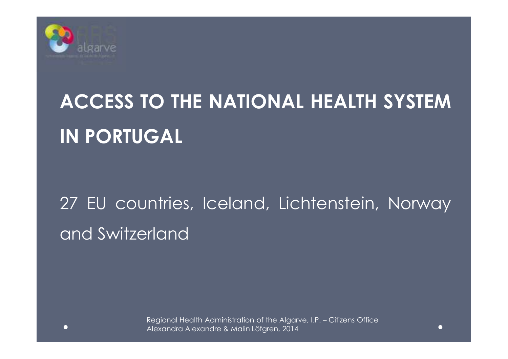

# **ACCESS TO THE NATIONAL HEALTH SYSTEMIN PORTUGAL**

## <sup>27</sup> EU countries, Iceland, Lichtenstein, Norway and Switzerland

Regional Health Administration of the Algarve, I.P. – Citizens Office Alexandra Alexandre & Malin Löfgren, 2014

 $\sqrt{2}$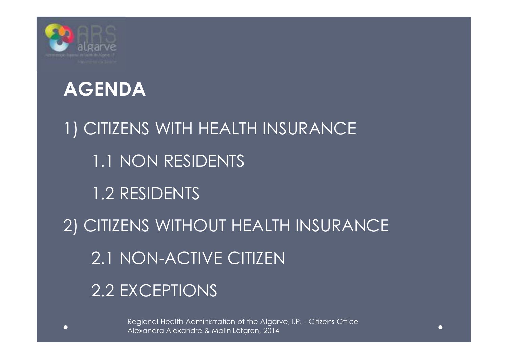

#### **AGENDA**

1) CITIZENS WITH HEALTH INSURANCE 1.1 NON RESIDENTS 1.2 RESIDENTS 2) CITIZENS WITHOUT HEALTH INSURANCE 2.1 NON-ACTIVE CITIZEN 2.2 EXCEPTIONS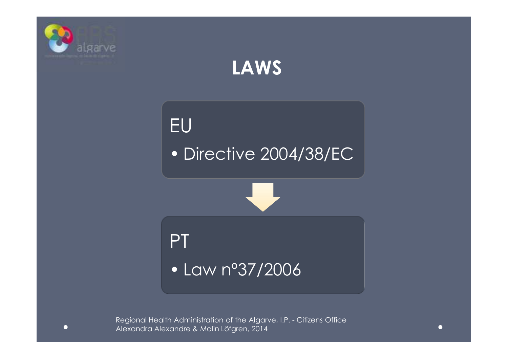

### **LAWS**



• Directive 2004/38/EC

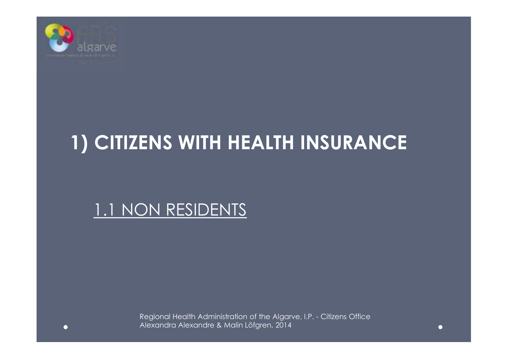

### **1) CITIZENS WITH HEALTH INSURANCE**

#### 1.1 NON RESIDENTS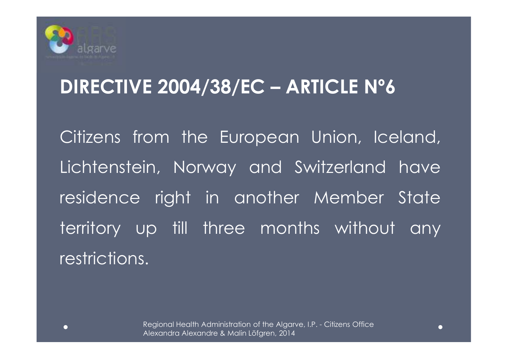

### **DIRECTIVE 2004/38/EC – ARTICLE Nº6**

Citizens from the European Union, Iceland, Lichtenstein, Norway and Switzerland have residence right in another Member State territory up till three months without any restrictions.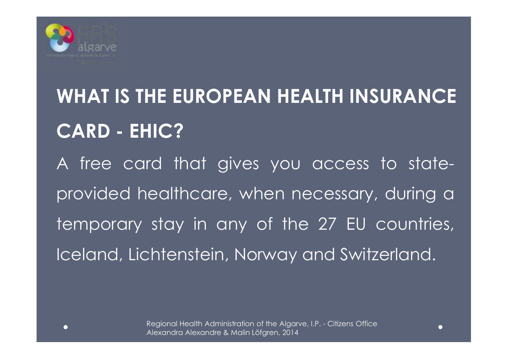

# **WHAT IS THE EUROPEAN HEALTH INSURANCE CARD - EHIC?**

<sup>A</sup> free card that gives you access to stateprovided healthcare, when necessary, during <sup>a</sup> temporary stay in any of the <sup>27</sup> EU countries, Iceland, Lichtenstein, Norway and Switzerland.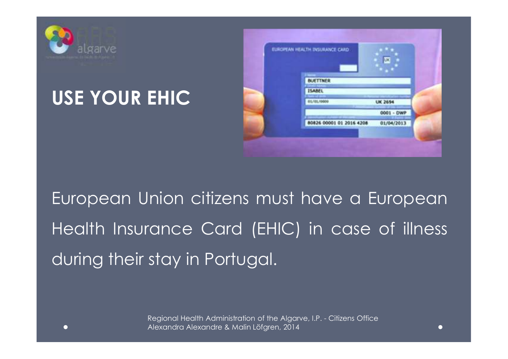

### **USE YOUR EHIC**



European Union citizens must have <sup>a</sup> European Health Insurance Card (EHIC) in case of illness during their stay in Portugal.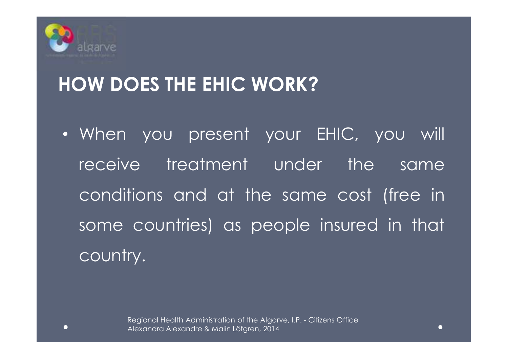

### **HOW DOES THE EHIC WORK?**

• When you present your EHIC, you will receive treatment under the same conditions and at the same cost (free in some countries) as people insured in that country.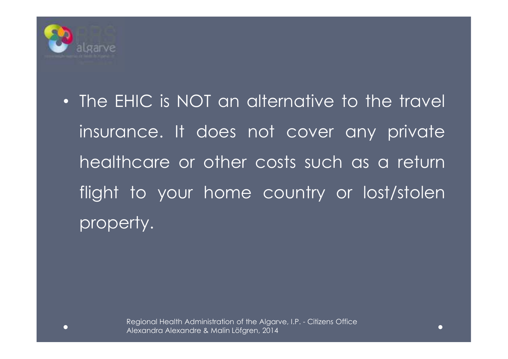

• The EHIC is NOT an alternative to the travel insurance. It does not cover any private healthcare or other costs such as <sup>a</sup> return flight to your home country or lost/stolen property.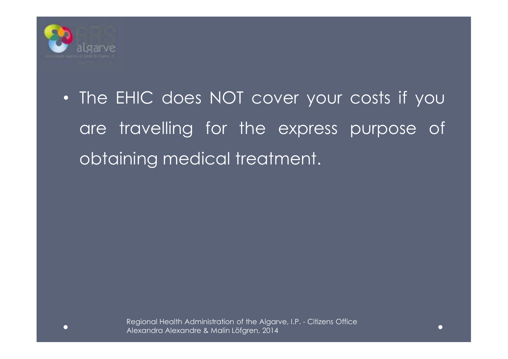

• The EHIC does NOT cover your costs if you are travelling for the express purpose of obtaining medical treatment.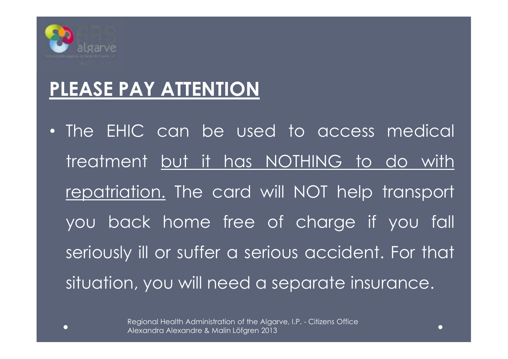

### **PLEASE PAY ATTENTION**

• The EHIC can be used to access medical treatment but it has NOTHING to do with repatriation. The card will NOT help transport you back home free of charge if you fall seriously ill or suffer <sup>a</sup> serious accident. For that situation, you will need <sup>a</sup> separate insurance.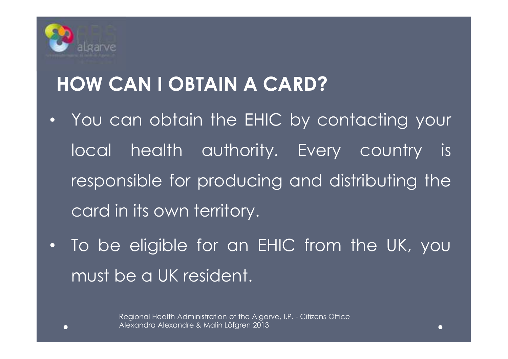

## **HOW CAN I OBTAIN A CARD?**

- •You can obtain the EHIC by contacting your local health authority. Every country is responsible for producing and distributing the card in its own territory.
- To be eligible for an EHIC from the UK, you must be <sup>a</sup> UK resident.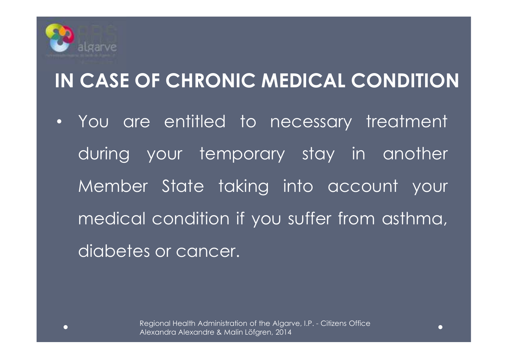

## **IN CASE OF CHRONIC MEDICAL CONDITION**

• You are entitled to necessary treatment during your temporary stay in another Member State taking into account your medical condition if you suffer from asthma, diabetes or cancer.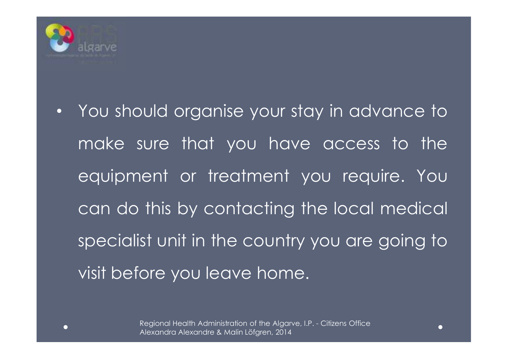

• You should organise your stay in advance to make sure that you have access to the equipment or treatment you require. You can do this by contacting the local medical specialist unit in the country you are going to visit before you leave home.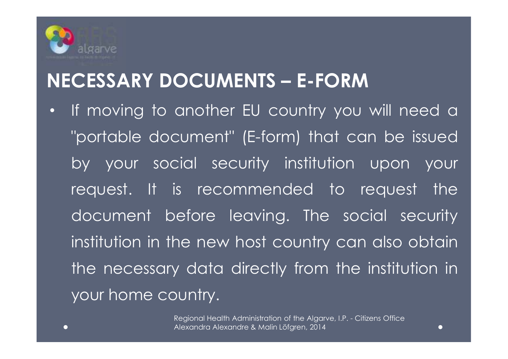

### **NECESSARY DOCUMENTS – E-FORM**

•If moving to another EU country you will need a "portable document" (E-form) that can be issued by your social security institution upon your request. It is recommended to request the document before leaving. The social security institution in the new host country can also obtain the necessary data directly from the institution in your home country.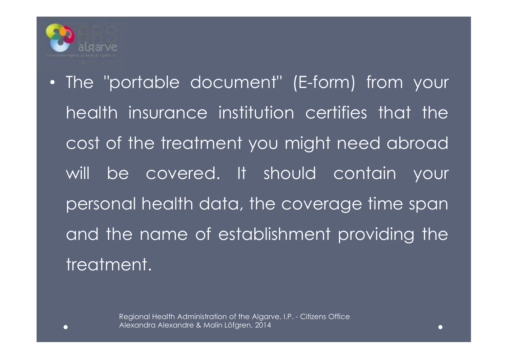

• The "portable document" (E-form) from your health insurance institution certifies that the cost of the treatment you might need abroad will be covered. It should contain your personal health data, the coverage time span and the name of establishment providing the treatment.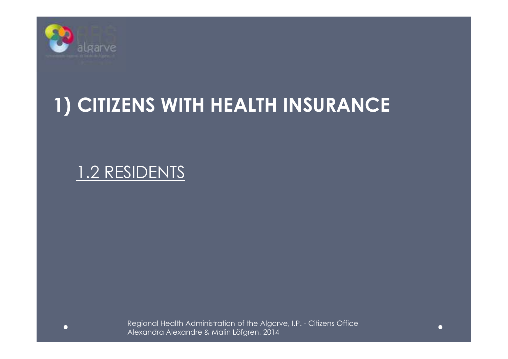

## **1) CITIZENS WITH HEALTH INSURANCE**

#### 1.2 RESIDENTS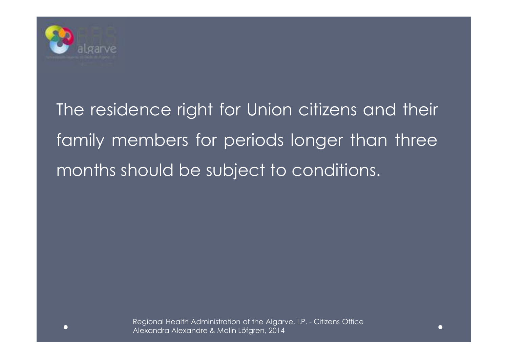

The residence right for Union citizens and their family members for periods longer than three months should be subject to conditions.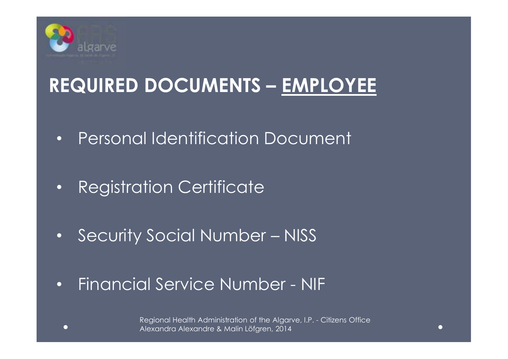

## **REQUIRED DOCUMENTS – EMPLOYEE**

- •Personal Identification Document
- •Registration Certificate
- •Security Social Number – NISS
- •Financial Service Number - NIF

Regional Health Administration of the Algarve, I.P. - Citizens Office Alexandra Alexandre & Malin Löfgren, 2014

 $\bullet$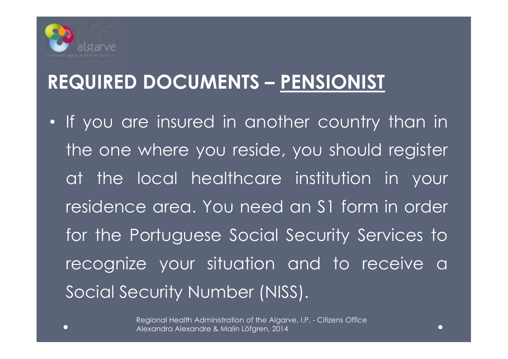

## **REQUIRED DOCUMENTS – PENSIONIST**

• If you are insured in another country than in the one where you reside, you should register at the local healthcare institution in your residence area. You need an S1 form in order for the Portuguese Social Security Services to recognize your situation and to receive <sup>a</sup> Social Security Number (NISS).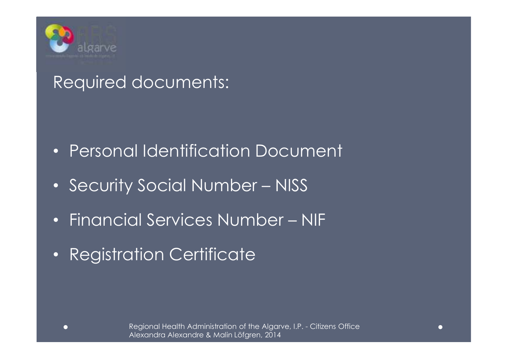

#### Required documents:

- Personal Identification Document
- Security Social Number NISS
- •Financial Services Number – NIF
- Registration Certificate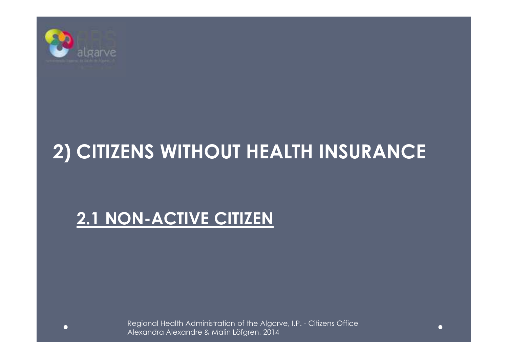

## **2) CITIZENS WITHOUT HEALTH INSURANCE**

#### **2.1 NON-ACTIVE CITIZEN**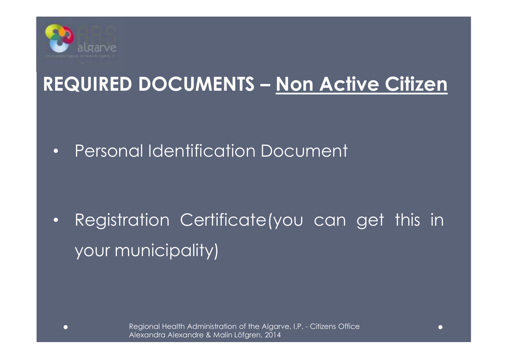

### **REQUIRED DOCUMENTS – Non Active Citizen**

•Personal Identification Document

• Registration Certificate(you can get this in your municipality)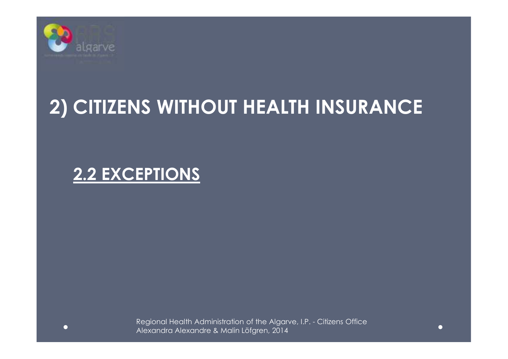

### **2) CITIZENS WITHOUT HEALTH INSURANCE**

#### **2.2 EXCEPTIONS**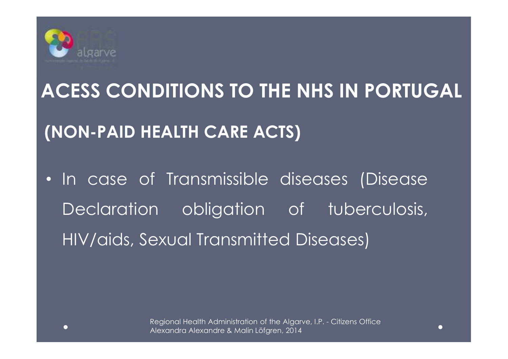

# **(NON-PAID HEALTH CARE ACTS)ACESS CONDITIONS TO THE NHS IN PORTUGAL**

• In case of Transmissible diseases (Disease Declaration obligation of tuberculosis, HIV/aids, Sexual Transmitted Diseases)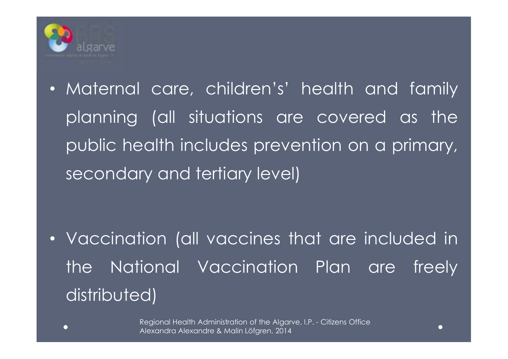

• Maternal care, children's' health and family planning (all situations are covered as the public health includes prevention on <sup>a</sup> primary, secondary and tertiary level)

• Vaccination (all vaccines that are included in the National Vaccination Plan are freely distributed)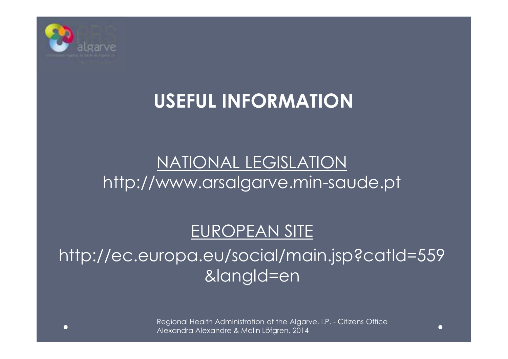

## **USEFUL INFORMATION**

#### NATIONAL LEGISLATIONhttp://www.arsalgarve.min-saude.pt

#### EUROPEAN SITE

http://ec.europa.eu/social/main.jsp?catId=559&langId=en

> Regional Health Administration of the Algarve, I.P. - Citizens Office Alexandra Alexandre & Malin Löfgren, 2014

C